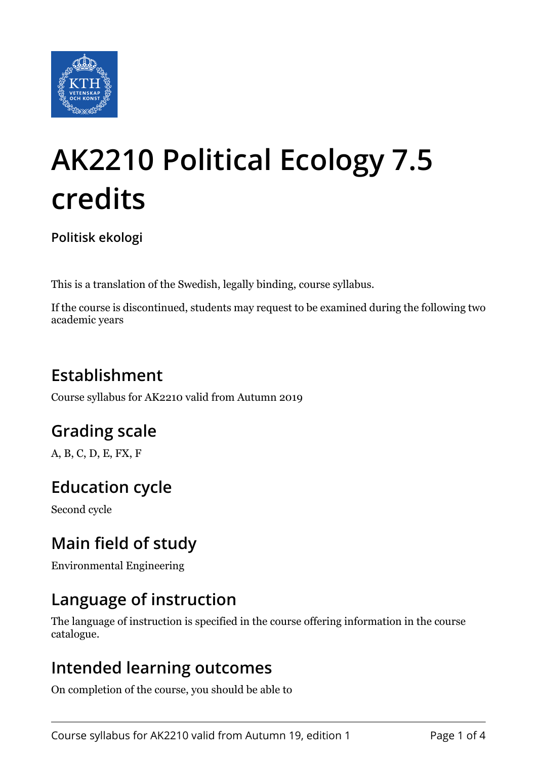

# **AK2210 Political Ecology 7.5 credits**

**Politisk ekologi**

This is a translation of the Swedish, legally binding, course syllabus.

If the course is discontinued, students may request to be examined during the following two academic years

# **Establishment**

Course syllabus for AK2210 valid from Autumn 2019

## **Grading scale**

A, B, C, D, E, FX, F

## **Education cycle**

Second cycle

## **Main field of study**

Environmental Engineering

## **Language of instruction**

The language of instruction is specified in the course offering information in the course catalogue.

#### **Intended learning outcomes**

On completion of the course, you should be able to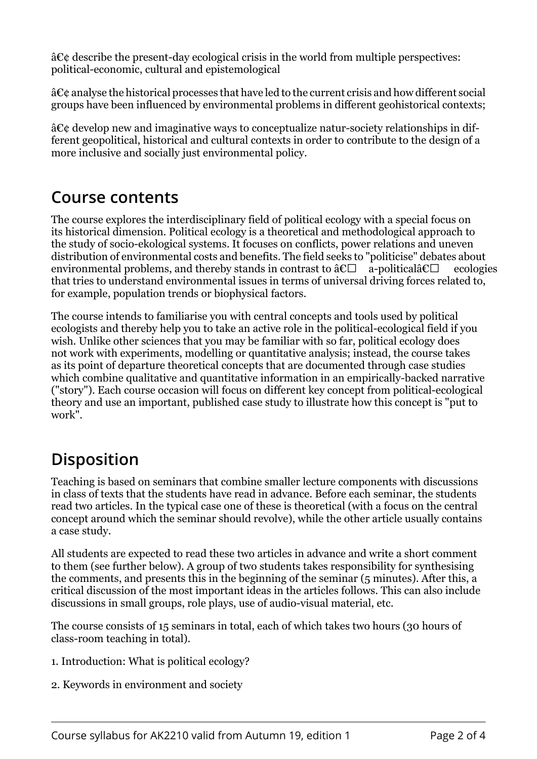$\hat{a}\mathcal{E}\hat{c}$  describe the present-day ecological crisis in the world from multiple perspectives: political-economic, cultural and epistemological

 $\hat{a}\mathbf{\mathcal{C}}\hat{c}$  analyse the historical processes that have led to the current crisis and how different social groups have been influenced by environmental problems in different geohistorical contexts;

 $\hat{a}\mathcal{C}\hat{c}$  develop new and imaginative ways to conceptualize natur-society relationships in different geopolitical, historical and cultural contexts in order to contribute to the design of a more inclusive and socially just environmental policy.

#### **Course contents**

The course explores the interdisciplinary field of political ecology with a special focus on its historical dimension. Political ecology is a theoretical and methodological approach to the study of socio-ekological systems. It focuses on conflicts, power relations and uneven distribution of environmental costs and benefits. The field seeks to "politicise" debates about environmental problems, and thereby stands in contrast to  $\hat{a}\epsilon\Box$  a-political $\hat{a}\epsilon\Box$  ecologies that tries to understand environmental issues in terms of universal driving forces related to, for example, population trends or biophysical factors.

The course intends to familiarise you with central concepts and tools used by political ecologists and thereby help you to take an active role in the political-ecological field if you wish. Unlike other sciences that you may be familiar with so far, political ecology does not work with experiments, modelling or quantitative analysis; instead, the course takes as its point of departure theoretical concepts that are documented through case studies which combine qualitative and quantitative information in an empirically-backed narrative ("story"). Each course occasion will focus on different key concept from political-ecological theory and use an important, published case study to illustrate how this concept is "put to work".

## **Disposition**

Teaching is based on seminars that combine smaller lecture components with discussions in class of texts that the students have read in advance. Before each seminar, the students read two articles. In the typical case one of these is theoretical (with a focus on the central concept around which the seminar should revolve), while the other article usually contains a case study.

All students are expected to read these two articles in advance and write a short comment to them (see further below). A group of two students takes responsibility for synthesising the comments, and presents this in the beginning of the seminar (5 minutes). After this, a critical discussion of the most important ideas in the articles follows. This can also include discussions in small groups, role plays, use of audio-visual material, etc.

The course consists of 15 seminars in total, each of which takes two hours (30 hours of class-room teaching in total).

- 1. Introduction: What is political ecology?
- 2. Keywords in environment and society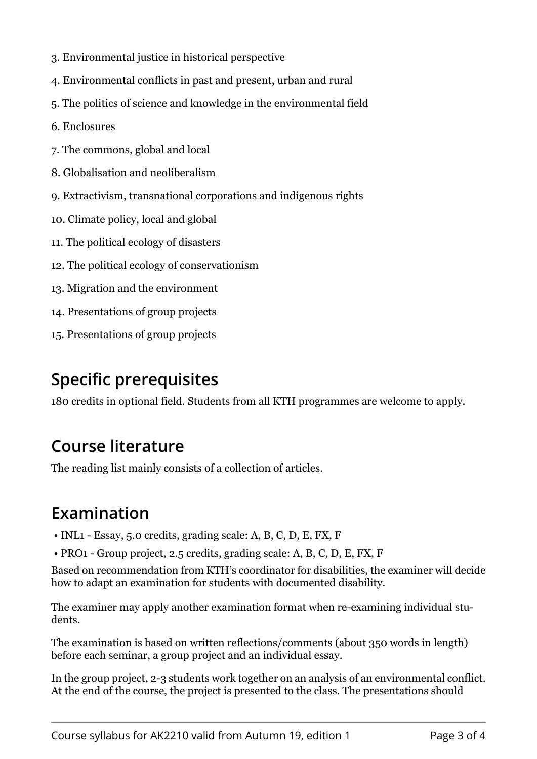- 3. Environmental justice in historical perspective
- 4. Environmental conflicts in past and present, urban and rural
- 5. The politics of science and knowledge in the environmental field
- 6. Enclosures
- 7. The commons, global and local
- 8. Globalisation and neoliberalism
- 9. Extractivism, transnational corporations and indigenous rights
- 10. Climate policy, local and global
- 11. The political ecology of disasters
- 12. The political ecology of conservationism
- 13. Migration and the environment
- 14. Presentations of group projects
- 15. Presentations of group projects

# **Specific prerequisites**

180 credits in optional field. Students from all KTH programmes are welcome to apply.

## **Course literature**

The reading list mainly consists of a collection of articles.

## **Examination**

- INL1 Essay, 5.0 credits, grading scale: A, B, C, D, E, FX, F
- PRO1 Group project, 2.5 credits, grading scale: A, B, C, D, E, FX, F

Based on recommendation from KTH's coordinator for disabilities, the examiner will decide how to adapt an examination for students with documented disability.

The examiner may apply another examination format when re-examining individual students.

The examination is based on written reflections/comments (about 350 words in length) before each seminar, a group project and an individual essay.

In the group project, 2-3 students work together on an analysis of an environmental conflict. At the end of the course, the project is presented to the class. The presentations should